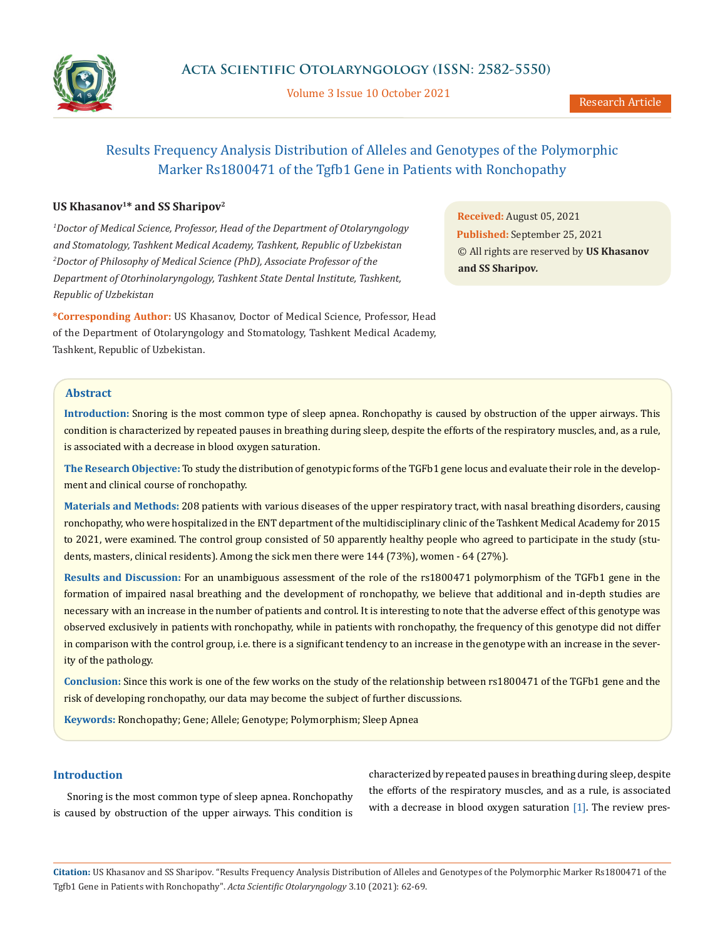

Volume 3 Issue 10 October 2021

# Results Frequency Analysis Distribution of Alleles and Genotypes of the Polymorphic Marker Rs1800471 of the Tgfb1 Gene in Patients with Ronchopathy

# US Khasanov<sup>1\*</sup> and SS Sharipov<sup>2</sup>

*1 Doctor of Medical Science, Professor, Head of the Department of Otolaryngology and Stomatology, Tashkent Medical Academy, Tashkent, Republic of Uzbekistan 2 Doctor of Philosophy of Medical Science (PhD), Associate Professor of the Department of Otorhinolaryngology, Tashkent State Dental Institute, Tashkent, Republic of Uzbekistan*

**\*Corresponding Author:** US Khasanov, Doctor of Medical Science, Professor, Head of the Department of Otolaryngology and Stomatology, Tashkent Medical Academy, Tashkent, Republic of Uzbekistan.

**Received:** August 05, 2021 **Published:** September 25, 2021 © All rights are reserved by **US Khasanov and SS Sharipov***.*

# **Abstract**

**Introduction:** Snoring is the most common type of sleep apnea. Ronchopathy is caused by obstruction of the upper airways. This condition is characterized by repeated pauses in breathing during sleep, despite the efforts of the respiratory muscles, and, as a rule, is associated with a decrease in blood oxygen saturation.

**The Research Objective:** To study the distribution of genotypic forms of the TGFb1 gene locus and evaluate their role in the development and clinical course of ronchopathy.

**Materials and Methods:** 208 patients with various diseases of the upper respiratory tract, with nasal breathing disorders, causing ronchopathy, who were hospitalized in the ENT department of the multidisciplinary clinic of the Tashkent Medical Academy for 2015 to 2021, were examined. The control group consisted of 50 apparently healthy people who agreed to participate in the study (students, masters, clinical residents). Among the sick men there were 144 (73%), women - 64 (27%).

**Results and Discussion:** For an unambiguous assessment of the role of the rs1800471 polymorphism of the TGFb1 gene in the formation of impaired nasal breathing and the development of ronchopathy, we believe that additional and in-depth studies are necessary with an increase in the number of patients and control. It is interesting to note that the adverse effect of this genotype was observed exclusively in patients with ronchopathy, while in patients with ronchopathy, the frequency of this genotype did not differ in comparison with the control group, i.e. there is a significant tendency to an increase in the genotype with an increase in the severity of the pathology.

**Conclusion:** Since this work is one of the few works on the study of the relationship between rs1800471 of the TGFb1 gene and the risk of developing ronchopathy, our data may become the subject of further discussions.

**Keywords:** Ronchopathy; Gene; Allele; Genotype; Polymorphism; Sleep Apnea

# **Introduction**

Snoring is the most common type of sleep apnea. Ronchopathy is caused by obstruction of the upper airways. This condition is characterized by repeated pauses in breathing during sleep, despite the efforts of the respiratory muscles, and as a rule, is associated with a decrease in blood oxygen saturation [1]. The review pres-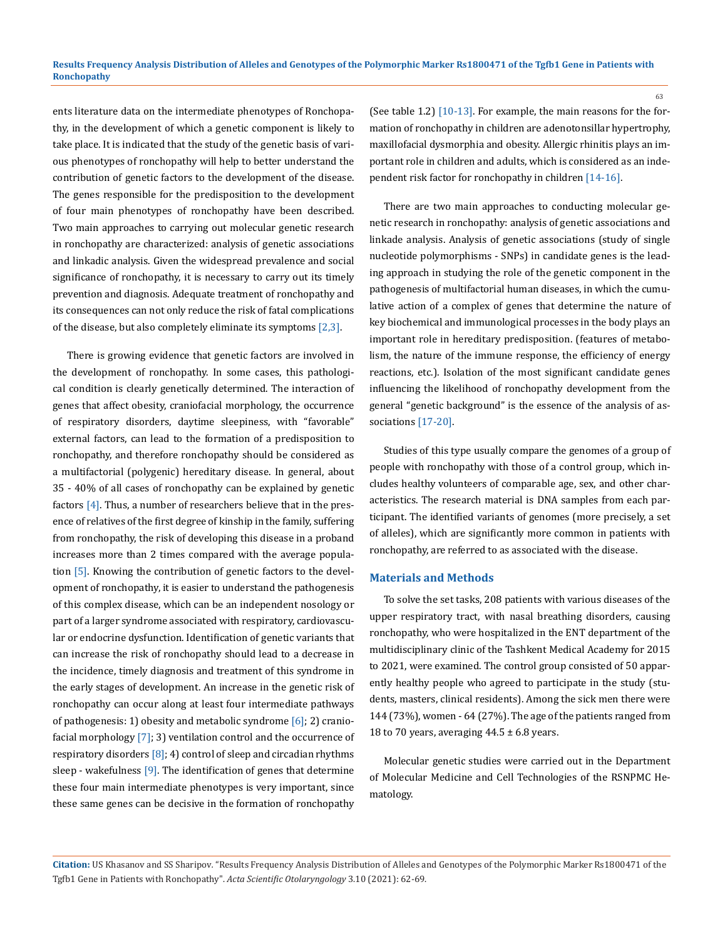ents literature data on the intermediate phenotypes of Ronchopathy, in the development of which a genetic component is likely to take place. It is indicated that the study of the genetic basis of various phenotypes of ronchopathy will help to better understand the contribution of genetic factors to the development of the disease. The genes responsible for the predisposition to the development of four main phenotypes of ronchopathy have been described. Two main approaches to carrying out molecular genetic research in ronchopathy are characterized: analysis of genetic associations and linkadic analysis. Given the widespread prevalence and social significance of ronchopathy, it is necessary to carry out its timely prevention and diagnosis. Adequate treatment of ronchopathy and its consequences can not only reduce the risk of fatal complications of the disease, but also completely eliminate its symptoms [2,3].

There is growing evidence that genetic factors are involved in the development of ronchopathy. In some cases, this pathological condition is clearly genetically determined. The interaction of genes that affect obesity, craniofacial morphology, the occurrence of respiratory disorders, daytime sleepiness, with "favorable" external factors, can lead to the formation of a predisposition to ronchopathy, and therefore ronchopathy should be considered as a multifactorial (polygenic) hereditary disease. In general, about 35 - 40% of all cases of ronchopathy can be explained by genetic factors  $[4]$ . Thus, a number of researchers believe that in the presence of relatives of the first degree of kinship in the family, suffering from ronchopathy, the risk of developing this disease in a proband increases more than 2 times compared with the average population [5]. Knowing the contribution of genetic factors to the development of ronchopathy, it is easier to understand the pathogenesis of this complex disease, which can be an independent nosology or part of a larger syndrome associated with respiratory, cardiovascular or endocrine dysfunction. Identification of genetic variants that can increase the risk of ronchopathy should lead to a decrease in the incidence, timely diagnosis and treatment of this syndrome in the early stages of development. An increase in the genetic risk of ronchopathy can occur along at least four intermediate pathways of pathogenesis: 1) obesity and metabolic syndrome  $[6]$ ; 2) craniofacial morphology [7]; 3) ventilation control and the occurrence of respiratory disorders  $[8]$ ; 4) control of sleep and circadian rhythms sleep - wakefulness  $[9]$ . The identification of genes that determine these four main intermediate phenotypes is very important, since these same genes can be decisive in the formation of ronchopathy

(See table 1.2) [10-13]. For example, the main reasons for the formation of ronchopathy in children are adenotonsillar hypertrophy, maxillofacial dysmorphia and obesity. Allergic rhinitis plays an important role in children and adults, which is considered as an independent risk factor for ronchopathy in children [14-16].

There are two main approaches to conducting molecular genetic research in ronchopathy: analysis of genetic associations and linkade analysis. Analysis of genetic associations (study of single nucleotide polymorphisms - SNPs) in candidate genes is the leading approach in studying the role of the genetic component in the pathogenesis of multifactorial human diseases, in which the cumulative action of a complex of genes that determine the nature of key biochemical and immunological processes in the body plays an important role in hereditary predisposition. (features of metabolism, the nature of the immune response, the efficiency of energy reactions, etc.). Isolation of the most significant candidate genes influencing the likelihood of ronchopathy development from the general "genetic background" is the essence of the analysis of associations [17-20].

Studies of this type usually compare the genomes of a group of people with ronchopathy with those of a control group, which includes healthy volunteers of comparable age, sex, and other characteristics. The research material is DNA samples from each participant. The identified variants of genomes (more precisely, a set of alleles), which are significantly more common in patients with ronchopathy, are referred to as associated with the disease.

#### **Materials and Methods**

To solve the set tasks, 208 patients with various diseases of the upper respiratory tract, with nasal breathing disorders, causing ronchopathy, who were hospitalized in the ENT department of the multidisciplinary clinic of the Tashkent Medical Academy for 2015 to 2021, were examined. The control group consisted of 50 apparently healthy people who agreed to participate in the study (students, masters, clinical residents). Among the sick men there were 144 (73%), women - 64 (27%). The age of the patients ranged from 18 to 70 years, averaging  $44.5 \pm 6.8$  years.

Molecular genetic studies were carried out in the Department of Molecular Medicine and Cell Technologies of the RSNPMC Hematology.

**Citation:** US Khasanov and SS Sharipov*.* "Results Frequency Analysis Distribution of Alleles and Genotypes of the Polymorphic Marker Rs1800471 of the Tgfb1 Gene in Patients with Ronchopathy". *Acta Scientific Otolaryngology* 3.10 (2021): 62-69.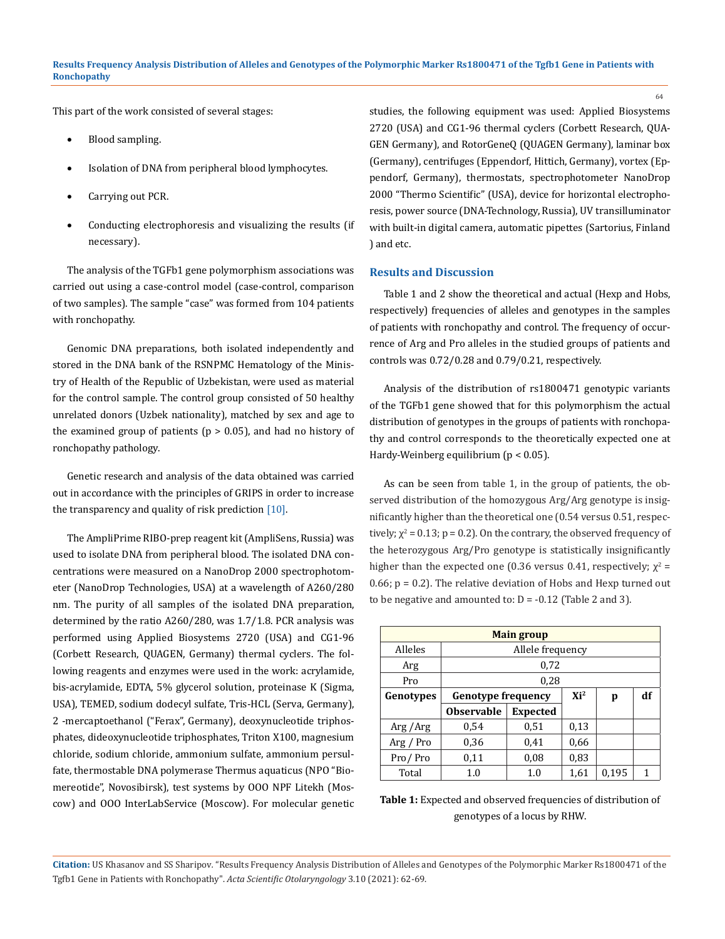This part of the work consisted of several stages:

- Blood sampling.
- Isolation of DNA from peripheral blood lymphocytes.
- Carrying out PCR.
- Conducting electrophoresis and visualizing the results (if necessary).

The analysis of the TGFb1 gene polymorphism associations was carried out using a case-control model (case-control, comparison of two samples). The sample "case" was formed from 104 patients with ronchopathy.

Genomic DNA preparations, both isolated independently and stored in the DNA bank of the RSNPMC Hematology of the Ministry of Health of the Republic of Uzbekistan, were used as material for the control sample. The control group consisted of 50 healthy unrelated donors (Uzbek nationality), matched by sex and age to the examined group of patients ( $p > 0.05$ ), and had no history of ronchopathy pathology.

Genetic research and analysis of the data obtained was carried out in accordance with the principles of GRIPS in order to increase the transparency and quality of risk prediction  $[10]$ .

The AmpliPrime RIBO-prep reagent kit (AmpliSens, Russia) was used to isolate DNA from peripheral blood. The isolated DNA concentrations were measured on a NanoDrop 2000 spectrophotometer (NanoDrop Technologies, USA) at a wavelength of A260/280 nm. The purity of all samples of the isolated DNA preparation, determined by the ratio A260/280, was 1.7/1.8. PCR analysis was performed using Applied Biosystems 2720 (USA) and CG1-96 (Corbett Research, QUAGEN, Germany) thermal cyclers. The following reagents and enzymes were used in the work: acrylamide, bis-acrylamide, EDTA, 5% glycerol solution, proteinase K (Sigma, USA), TEMED, sodium dodecyl sulfate, Tris-HCL (Serva, Germany), 2 -mercaptoethanol ("Ferax", Germany), deoxynucleotide triphosphates, dideoxynucleotide triphosphates, Triton X100, magnesium chloride, sodium chloride, ammonium sulfate, ammonium persulfate, thermostable DNA polymerase Thermus aquaticus (NPO "Biomereotide", Novosibirsk), test systems by OOO NPF Litekh (Moscow) and OOO InterLabService (Moscow). For molecular genetic studies, the following equipment was used: Applied Biosystems 2720 (USA) and СG1-96 thermal cyclers (Corbett Research, QUA-GEN Germany), and RotorGeneQ (QUAGEN Germany), laminar box (Germany), centrifuges (Eppendorf, Hittich, Germany), vortex (Eppendorf, Germany), thermostats, spectrophotometer NanoDrop 2000 "Thermo Scientific" (USA), device for horizontal electrophoresis, power source (DNA-Technology, Russia), UV transilluminator with built-in digital camera, automatic pipettes (Sartorius, Finland ) and etc.

### **Results and Discussion**

Table 1 and 2 show the theoretical and actual (Hexp and Hobs, respectively) frequencies of alleles and genotypes in the samples of patients with ronchopathy and control. The frequency of occurrence of Arg and Pro alleles in the studied groups of patients and controls was 0.72/0.28 and 0.79/0.21, respectively.

Analysis of the distribution of rs1800471 genotypic variants of the TGFb1 gene showed that for this polymorphism the actual distribution of genotypes in the groups of patients with ronchopathy and control corresponds to the theoretically expected one at Hardy-Weinberg equilibrium ( $p < 0.05$ ).

As can be seen from table 1, in the group of patients, the observed distribution of the homozygous Arg/Arg genotype is insignificantly higher than the theoretical one (0.54 versus 0.51, respectively;  $\chi^2$  = 0.13; p = 0.2). On the contrary, the observed frequency of the heterozygous Arg/Pro genotype is statistically insignificantly higher than the expected one (0.36 versus 0.41, respectively;  $\chi^2$  = 0.66;  $p = 0.2$ ). The relative deviation of Hobs and Hexp turned out to be negative and amounted to:  $D = -0.12$  (Table 2 and 3).

|           | <b>Main group</b>           |                  |                 |   |    |  |  |  |  |  |  |  |  |
|-----------|-----------------------------|------------------|-----------------|---|----|--|--|--|--|--|--|--|--|
| Alleles   |                             | Allele frequency |                 |   |    |  |  |  |  |  |  |  |  |
| Arg       |                             | 0,72             |                 |   |    |  |  |  |  |  |  |  |  |
| Pro       |                             | 0,28             |                 |   |    |  |  |  |  |  |  |  |  |
| Genotypes | <b>Genotype frequency</b>   |                  | Xi <sup>2</sup> | p | df |  |  |  |  |  |  |  |  |
|           | <b>Observable</b>           | <b>Expected</b>  |                 |   |    |  |  |  |  |  |  |  |  |
| Arg/Arg   | 0,54                        | 0,51             | 0,13            |   |    |  |  |  |  |  |  |  |  |
| Arg / Pro | 0,36                        | 0,41             | 0,66            |   |    |  |  |  |  |  |  |  |  |
| Pro/Pro   | 0,11                        | 0,83<br>0,08     |                 |   |    |  |  |  |  |  |  |  |  |
| Total     | 0.195<br>1.0<br>1.0<br>1,61 |                  |                 |   |    |  |  |  |  |  |  |  |  |



**Citation:** US Khasanov and SS Sharipov*.* "Results Frequency Analysis Distribution of Alleles and Genotypes of the Polymorphic Marker Rs1800471 of the Tgfb1 Gene in Patients with Ronchopathy". *Acta Scientific Otolaryngology* 3.10 (2021): 62-69.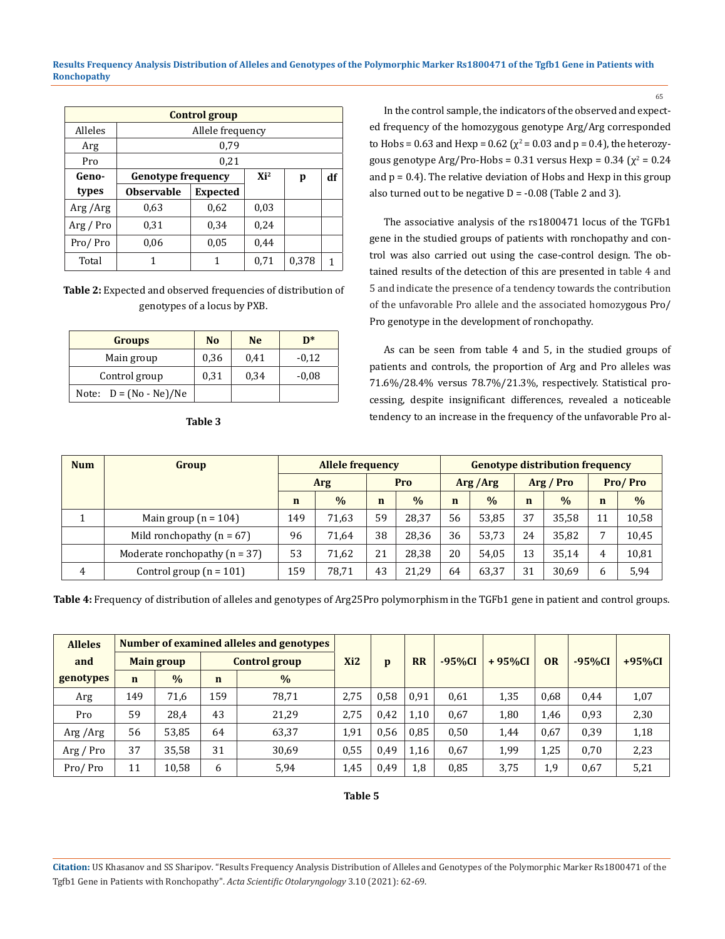**Results Frequency Analysis Distribution of Alleles and Genotypes of the Polymorphic Marker Rs1800471 of the Tgfb1 Gene in Patients with Ronchopathy**

| <b>Control group</b> |                              |                  |        |   |    |  |  |  |  |  |  |  |  |
|----------------------|------------------------------|------------------|--------|---|----|--|--|--|--|--|--|--|--|
| Alleles              |                              | Allele frequency |        |   |    |  |  |  |  |  |  |  |  |
| Arg                  |                              | 0,79             |        |   |    |  |  |  |  |  |  |  |  |
| Pro                  |                              | 0,21             |        |   |    |  |  |  |  |  |  |  |  |
| Geno-                | <b>Genotype frequency</b>    |                  | $Xi^2$ | p | df |  |  |  |  |  |  |  |  |
| types                | <b>Observable</b>            | <b>Expected</b>  |        |   |    |  |  |  |  |  |  |  |  |
| Arg/Arg              | 0.63                         | 0.62             | 0.03   |   |    |  |  |  |  |  |  |  |  |
| Arg / Pro            | 0,31                         | 0,34             | 0,24   |   |    |  |  |  |  |  |  |  |  |
| Pro/Pro              | 0,06                         | 0.05             | 0,44   |   |    |  |  |  |  |  |  |  |  |
| Total                | 0,378<br>0,71<br>1<br>1<br>1 |                  |        |   |    |  |  |  |  |  |  |  |  |

**Table 2:** Expected and observed frequencies of distribution of genotypes of a locus by PXB.

| <b>Groups</b>            | N <sub>0</sub> | <b>Ne</b> | $\mathbf{D}^*$ |
|--------------------------|----------------|-----------|----------------|
| Main group               | 0,36           | 0,41      | $-0.12$        |
| Control group            | 0,31           | 0,34      | $-0.08$        |
| Note: $D = (No - Ne)/Ne$ |                |           |                |

| × | -<br>×<br>۰.<br>٠ | ×<br>٧ |
|---|-------------------|--------|

In the control sample, the indicators of the observed and expected frequency of the homozygous genotype Arg/Arg corresponded to Hobs = 0.63 and Hexp = 0.62 ( $\chi^2$  = 0.03 and p = 0.4), the heterozygous genotype Arg/Pro-Hobs = 0.31 versus Hexp = 0.34 ( $\chi^2$  = 0.24 and  $p = 0.4$ ). The relative deviation of Hobs and Hexp in this group also turned out to be negative  $D = -0.08$  (Table 2 and 3).

65

The associative analysis of the rs1800471 locus of the TGFb1 gene in the studied groups of patients with ronchopathy and control was also carried out using the case-control design. The obtained results of the detection of this are presented in table 4 and 5 and indicate the presence of a tendency towards the contribution of the unfavorable Pro allele and the associated homozygous Pro/ Pro genotype in the development of ronchopathy.

As can be seen from table 4 and 5, in the studied groups of patients and controls, the proportion of Arg and Pro alleles was 71.6%/28.4% versus 78.7%/21.3%, respectively. Statistical processing, despite insignificant differences, revealed a noticeable tendency to an increase in the frequency of the unfavorable Pro al-

| <b>Num</b> | Group                             | <b>Allele frequency</b> |               |             |               | <b>Genotype distribution frequency</b> |               |             |               |             |               |  |  |
|------------|-----------------------------------|-------------------------|---------------|-------------|---------------|----------------------------------------|---------------|-------------|---------------|-------------|---------------|--|--|
|            |                                   |                         | Arg           |             | Pro           |                                        | Arg/Arg       |             | Arg / Pro     | Pro/Pro     |               |  |  |
|            |                                   | n                       | $\frac{0}{0}$ | $\mathbf n$ | $\frac{0}{0}$ | $\mathbf n$                            | $\frac{0}{0}$ | $\mathbf n$ | $\frac{0}{0}$ | $\mathbf n$ | $\frac{0}{0}$ |  |  |
|            | Main group $(n = 104)$            | 149                     | 71,63         | 59          | 28,37         | 56                                     | 53,85         | 37          | 35,58         | 11          | 10,58         |  |  |
|            | Mild ronchopathy ( $n = 67$ )     | 96                      | 71.64         | 38          | 28,36         | 36                                     | 53,73         | 24          | 35.82         | −           | 10,45         |  |  |
|            | Moderate ronchopathy ( $n = 37$ ) | 53                      | 71.62         | 21          | 28,38         | 20                                     | 54,05         | 13          | 35,14         | 4           | 10,81         |  |  |
| 4          | Control group $(n = 101)$         | 159                     | 78.71         |             | 21,29         | 64                                     | 63,37         | 31          | 30,69         | 6           | 5,94          |  |  |

**Table 4:** Frequency of distribution of alleles and genotypes of Arg25Pro polymorphism in the TGFb1 gene in patient and control groups.

| <b>Alleles</b><br>and |             | <b>Main group</b> |             | Number of examined alleles and genotypes<br>Control group |                 | p    | <b>RR</b> | $-95%CI$ | $+95\%$ CI | <b>OR</b> | $-95\%CI$ | $+95\%$ CI |
|-----------------------|-------------|-------------------|-------------|-----------------------------------------------------------|-----------------|------|-----------|----------|------------|-----------|-----------|------------|
| genotypes             |             |                   |             |                                                           | Xi <sub>2</sub> |      |           |          |            |           |           |            |
|                       | $\mathbf n$ | $\frac{0}{0}$     | $\mathbf n$ | $\frac{0}{0}$                                             |                 |      |           |          |            |           |           |            |
| Arg                   | 149         | 71,6              | 159         | 78,71                                                     | 2.75            | 0,58 | 0,91      | 0.61     | 1,35       | 0,68      | 0.44      | 1,07       |
| Pro                   | 59          | 28,4              | 43          | 21,29                                                     | 2,75            | 0,42 | 1,10      | 0,67     | 1,80       | 1,46      | 0,93      | 2,30       |
| Arg/Arg               | 56          | 53,85             | 64          | 63,37                                                     | 1,91            | 0,56 | 0,85      | 0,50     | 1,44       | 0,67      | 0,39      | 1,18       |
| Arg / Pro             | 37          | 35,58             | 31          | 30,69                                                     | 0.55            | 0.49 | 1,16      | 0,67     | 1,99       | 1,25      | 0,70      | 2,23       |
| Pro/Pro               | 11          | 10,58             | 6           | 5,94                                                      | 1,45            | 0,49 | 1,8       | 0,85     | 3,75       | 1,9       | 0,67      | 5,21       |

**Table 5**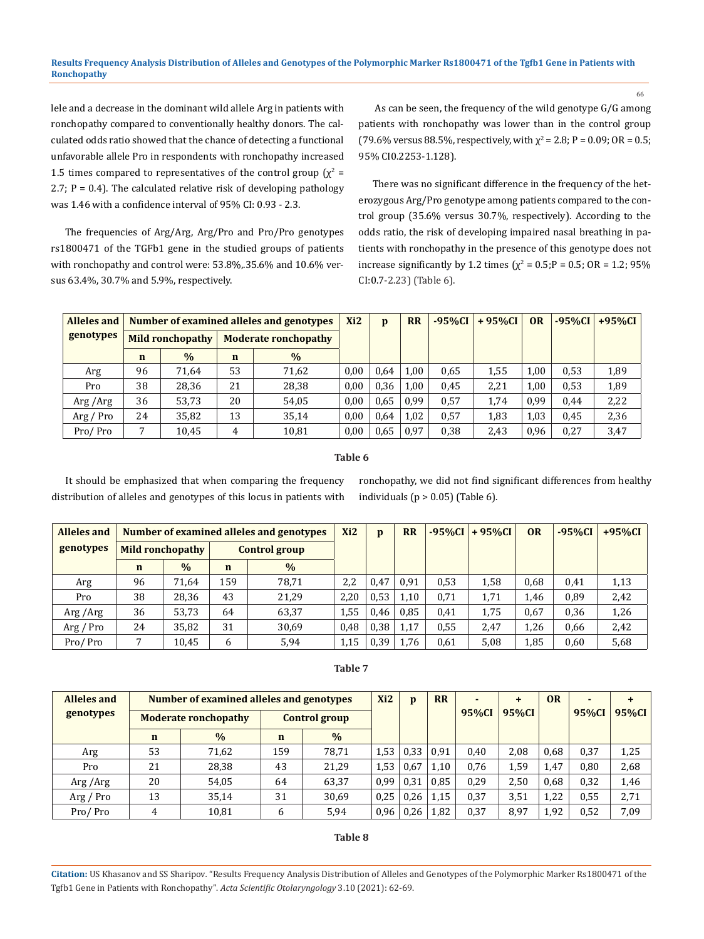lele and a decrease in the dominant wild allele Arg in patients with ronchopathy compared to conventionally healthy donors. The calculated odds ratio showed that the chance of detecting a functional unfavorable allele Pro in respondents with ronchopathy increased 1.5 times compared to representatives of the control group  $(\chi^2 =$ 2.7;  $P = 0.4$ ). The calculated relative risk of developing pathology was 1.46 with a confidence interval of 95% CI: 0.93 - 2.3.

The frequencies of Arg/Arg, Arg/Pro and Pro/Pro genotypes rs1800471 of the TGFb1 gene in the studied groups of patients with ronchopathy and control were: 53.8%,.35.6% and 10.6% versus 63.4%, 30.7% and 5.9%, respectively.

 As can be seen, the frequency of the wild genotype G/G among patients with ronchopathy was lower than in the control group (79.6% versus 88.5%, respectively, with  $\chi^2$  = 2.8; P = 0.09; OR = 0.5; 95% CI0.2253-1.128).

66

There was no significant difference in the frequency of the heterozygous Arg/Pro genotype among patients compared to the control group (35.6% versus 30.7%, respectively). According to the odds ratio, the risk of developing impaired nasal breathing in patients with ronchopathy in the presence of this genotype does not increase significantly by 1.2 times ( $\chi^2$  = 0.5;P = 0.5; OR = 1.2; 95% CI:0.7-2.23) (Table 6).

| Alleles and |             |                  |             | Number of examined alleles and genotypes | Xi <sub>2</sub> | D    | <b>RR</b> | $-95\%CI$ | $+95\%CI$ | <b>OR</b> | $-95\%CI$ | $+95\%$ CI |
|-------------|-------------|------------------|-------------|------------------------------------------|-----------------|------|-----------|-----------|-----------|-----------|-----------|------------|
| genotypes   |             | Mild ronchopathy |             | <b>Moderate ronchopathy</b>              |                 |      |           |           |           |           |           |            |
|             | $\mathbf n$ | $\%$             | $\mathbf n$ | $\frac{0}{0}$                            |                 |      |           |           |           |           |           |            |
| Arg         | 96          | 71.64            | 53          | 71,62                                    | 0.00            | 0.64 | 1,00      | 0.65      | 1,55      | 1,00      | 0,53      | 1,89       |
| Pro         | 38          | 28,36            | 21          | 28,38                                    | 0.00            | 0,36 | 1,00      | 0,45      | 2,21      | 1,00      | 0,53      | 1,89       |
| Arg/Arg     | 36          | 53,73            | 20          | 54,05                                    | 0.00            | 0.65 | 0,99      | 0,57      | 1,74      | 0.99      | 0.44      | 2,22       |
| Arg / Pro   | 24          | 35,82            | 13          | 35,14                                    | 0,00            | 0.64 | 1.02      | 0,57      | 1,83      | 1,03      | 0.45      | 2,36       |
| Pro/Pro     | 7           | 10,45            | 4           | 10,81                                    | 0.00            | 0.65 | 0,97      | 0,38      | 2,43      | 0,96      | 0,27      | 3,47       |

#### **Table 6**

It should be emphasized that when comparing the frequency distribution of alleles and genotypes of this locus in patients with ronchopathy, we did not find significant differences from healthy individuals ( $p > 0.05$ ) (Table 6).

| <b>Alleles and</b> |             |                  |                    | Number of examined alleles and genotypes | Xi <sub>2</sub> | $\mathbf{D}$ | <b>RR</b> | $-95%CI$ | $+95\%CI$ | <b>OR</b> | $-95%CI$ | $+95\%CI$ |
|--------------------|-------------|------------------|--------------------|------------------------------------------|-----------------|--------------|-----------|----------|-----------|-----------|----------|-----------|
| genotypes          |             | Mild ronchopathy |                    | <b>Control group</b>                     |                 |              |           |          |           |           |          |           |
|                    | $\mathbf n$ | $\frac{0}{0}$    | $\frac{0}{0}$<br>n |                                          |                 |              |           |          |           |           |          |           |
| Arg                | 96          | 71,64            | 159                | 78,71                                    | 2.2             | 0.47         | 0.91      | 0.53     | 1,58      | 0,68      | 0,41     | 1,13      |
| Pro                | 38          | 28,36            | 43                 | 21,29                                    | 2.20            | 0.53         | 1,10      | 0,71     | 1,71      | 1,46      | 0,89     | 2,42      |
| Arg /Arg           | 36          | 53,73            | 64                 | 63,37                                    | 1,55            | 0.46         | 0.85      | 0,41     | 1,75      | 0,67      | 0,36     | 1,26      |
| Arg / Pro          | 24          | 35,82            | 31                 | 30,69                                    | 0.48            | 0,38         | 1.17      | 0.55     | 2,47      | 1,26      | 0,66     | 2,42      |
| Pro/Pro            |             | 10,45            | 5,94<br>6          |                                          | 1,15            | 0.39         | 1.76      | 0,61     | 5,08      | 1,85      | 0,60     | 5,68      |

### **Table 7**

| <b>Alleles and</b> |             | Number of examined alleles and genotypes | Xi <sub>2</sub> | $\mathbf{D}$         | <b>RR</b> |      | $\ddot{}$ | <b>OR</b> |       | +    |       |       |
|--------------------|-------------|------------------------------------------|-----------------|----------------------|-----------|------|-----------|-----------|-------|------|-------|-------|
| genotypes          |             | <b>Moderate ronchopathy</b>              |                 | <b>Control group</b> |           |      |           | 95%CI     | 95%CI |      | 95%CI | 95%CI |
|                    | $\mathbf n$ | $\frac{0}{0}$                            | $\mathbf n$     | $\frac{0}{0}$        |           |      |           |           |       |      |       |       |
| Arg                | 53          | 71,62                                    | 159             | 78.71                | 1,53      | 0.33 | 0,91      | 0,40      | 2,08  | 0,68 | 0,37  | 1,25  |
| Pro                | 21          | 28,38                                    | 43              | 21,29                | 1,53      | 0.67 | 1,10      | 0.76      | 1,59  | 1,47 | 0,80  | 2,68  |
| Arg /Arg           | 20          | 54,05                                    | 64              | 63,37                | 0.99      | 0.31 | 0,85      | 0.29      | 2,50  | 0,68 | 0,32  | 1,46  |
| Arg / Pro          | 13          | 35,14                                    | 31              | 30,69                | 0,25      | 0,26 | 1,15      | 0,37      | 3,51  | 1,22 | 0,55  | 2,71  |
| Pro/Pro            | 4           | 10,81                                    | 6               | 5,94                 | 0,96      | 0.26 | 1,82      | 0,37      | 8,97  | 1,92 | 0,52  | 7,09  |

#### **Table 8**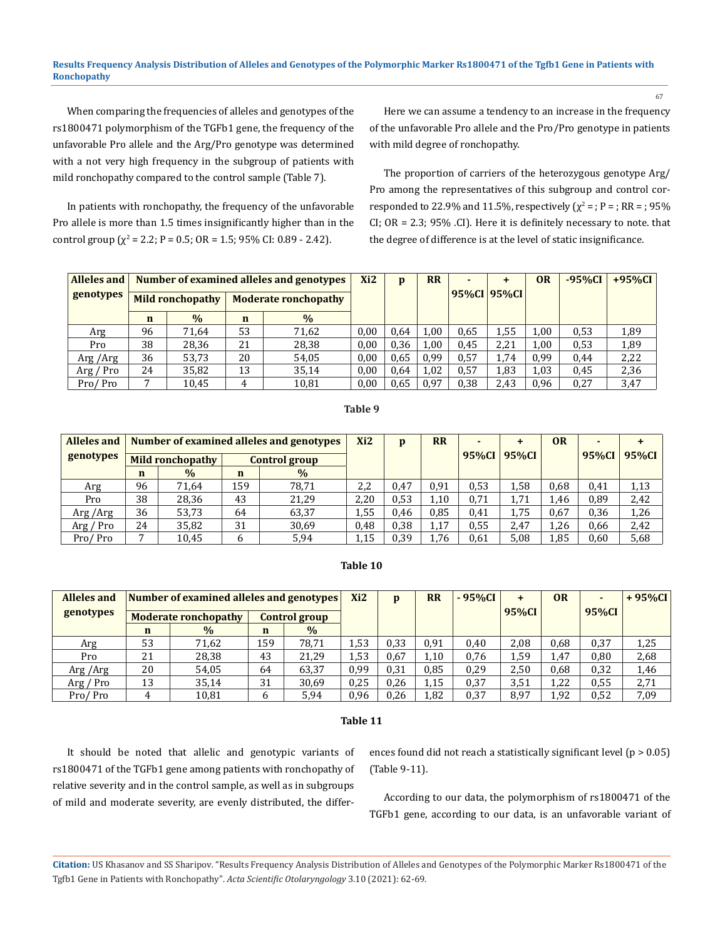#### **Results Frequency Analysis Distribution of Alleles and Genotypes of the Polymorphic Marker Rs1800471 of the Tgfb1 Gene in Patients with Ronchopathy**

When comparing the frequencies of alleles and genotypes of the rs1800471 polymorphism of the TGFb1 gene, the frequency of the unfavorable Pro allele and the Arg/Pro genotype was determined with a not very high frequency in the subgroup of patients with mild ronchopathy compared to the control sample (Table 7).

In patients with ronchopathy, the frequency of the unfavorable Pro allele is more than 1.5 times insignificantly higher than in the control group ( $\chi^2$  = 2.2; P = 0.5; OR = 1.5; 95% CI: 0.89 - 2.42).

Here we can assume a tendency to an increase in the frequency of the unfavorable Pro allele and the Pro/Pro genotype in patients with mild degree of ronchopathy.

The proportion of carriers of the heterozygous genotype Arg/ Pro among the representatives of this subgroup and control corresponded to 22.9% and 11.5%, respectively ( $\chi^2$  = ; P = ; RR = ; 95% CI; OR = 2.3; 95% .CI). Here it is definitely necessary to note. that the degree of difference is at the level of static insignificance.

| <b>Alleles and</b> |             |                         |             | Number of examined alleles and genotypes | Xi <sub>2</sub> | p    | <b>RR</b> |      | $\ddot{}$   | 0 <sub>R</sub> | $-95\%CI$ | $+95\%CI$ |
|--------------------|-------------|-------------------------|-------------|------------------------------------------|-----------------|------|-----------|------|-------------|----------------|-----------|-----------|
| genotypes          |             | <b>Mild ronchopathy</b> |             | <b>Moderate ronchopathy</b>              |                 |      |           |      | 95%CI 95%CI |                |           |           |
|                    | $\mathbf n$ | $\frac{0}{0}$           | $\mathbf n$ | $\frac{0}{0}$                            |                 |      |           |      |             |                |           |           |
| Arg                | 96          | 71.64                   | 53          | 71,62                                    | 0.00            | 0,64 | 1,00      | 0.65 | 1,55        | 1,00           | 0,53      | 1,89      |
| Pro                | 38          | 28,36                   | 21          | 28,38                                    | 0,00            | 0,36 | 1,00      | 0.45 | 2,21        | 1,00           | 0,53      | 1,89      |
| Arg /Arg           | 36          | 53,73                   | 20          | 54,05                                    | 0.00            | 0.65 | 0,99      | 0,57 | 1,74        | 0,99           | 0,44      | 2,22      |
| Arg / Pro          | 24          | 35,82                   | 13          | 35,14                                    | 0,00            | 0,64 | 1,02      | 0,57 | 1,83        | 1,03           | 0.45      | 2,36      |
| Pro/Pro            |             | 10,45                   | 4           | 10,81                                    |                 | 0.65 | 0,97      | 0,38 | 2,43        | 0,96           | 0,27      | 3,47      |

#### **Table 9**

| Alleles and |    |                  |             | Number of examined alleles and genotypes | Xi <sub>2</sub> | p    | <b>RR</b> |       |       | <b>OR</b> | $\blacksquare$ | $\ddot{}$ |
|-------------|----|------------------|-------------|------------------------------------------|-----------------|------|-----------|-------|-------|-----------|----------------|-----------|
| genotypes   |    | Mild ronchopathy |             | Control group                            |                 |      |           | 95%CI | 95%CI |           | 95%CI          | 95%CI     |
|             | n  | $\frac{0}{0}$    | $\mathbf n$ | $\%$                                     |                 |      |           |       |       |           |                |           |
| Arg         | 96 | 71.64            | 159         | 78.71                                    | 2,2             | 0.47 | 0.91      | 0.53  | 1.58  | 0.68      | 0,41           | 1,13      |
| Pro         | 38 | 28,36            | 43          | 21.29                                    | 2,20            | 0.53 | 1,10      | 0.71  | 1.71  | 1,46      | 0,89           | 2,42      |
| Arg/Arg     | 36 | 53,73            | 64          | 63,37                                    | 1,55            | 0.46 | 0.85      | 0.41  | 1,75  | 0.67      | 0,36           | 1,26      |
| Arg / Pro   | 24 | 35,82            | 31          | 30,69                                    | 0.48            | 0.38 | 1,17      | 0.55  | 2,47  | 1,26      | 0,66           | 2,42      |
| Pro/Pro     |    | 10,45            | 6           | 5,94                                     | 1,15            | 0,39 | 1,76      | 0,61  | 5,08  | 1,85      | 0,60           | 5,68      |

#### **Table 10**

| <b>Alleles and</b> |             | Number of examined alleles and genotypes |     | Xi <sub>2</sub>      | p    | <b>RR</b> | $-95%CI$ | $\ddot{}$ | <b>OR</b> | ۰.   | $+95\%CI$ |      |
|--------------------|-------------|------------------------------------------|-----|----------------------|------|-----------|----------|-----------|-----------|------|-----------|------|
| genotypes          |             | <b>Moderate ronchopathy</b>              |     | <b>Control group</b> |      |           |          |           | 95%CI     |      | 95%CI     |      |
|                    | $\mathbf n$ | $\frac{0}{0}$                            | n   | $\frac{0}{0}$        |      |           |          |           |           |      |           |      |
| Arg                | 53          | 71,62                                    | 159 | 78.71                | 1,53 | 0,33      | 0,91     | 0.40      | 2,08      | 0.68 | 0,37      | 1,25 |
| Pro                | 21          | 28,38                                    | 43  | 21,29                | 1,53 | 0.67      | 1,10     | 0,76      | 1,59      | 1,47 | 0,80      | 2,68 |
| Arg/Arg            | 20          | 54,05                                    | 64  | 63,37                | 0,99 | 0.31      | 0.85     | 0.29      | 2,50      | 0.68 | 0,32      | 1,46 |
| Arg / Pro          | 13          | 35,14                                    | 31  | 30,69                | 0,25 | 0,26      | 1,15     | 0,37      | 3,51      | 1,22 | 0,55      | 2,71 |
| Pro/Pro            | 4           | 10,81                                    | 6   | 5,94                 | 0,96 | 0.26      | 1,82     | 0.37      | 8,97      | 1,92 | 0,52      | 7,09 |

#### **Table 11**

It should be noted that allelic and genotypic variants of rs1800471 of the TGFb1 gene among patients with ronchopathy of relative severity and in the control sample, as well as in subgroups of mild and moderate severity, are evenly distributed, the differences found did not reach a statistically significant level (p > 0.05) (Table 9-11).

According to our data, the polymorphism of rs1800471 of the TGFb1 gene, according to our data, is an unfavorable variant of

**Citation:** US Khasanov and SS Sharipov*.* "Results Frequency Analysis Distribution of Alleles and Genotypes of the Polymorphic Marker Rs1800471 of the Tgfb1 Gene in Patients with Ronchopathy". *Acta Scientific Otolaryngology* 3.10 (2021): 62-69.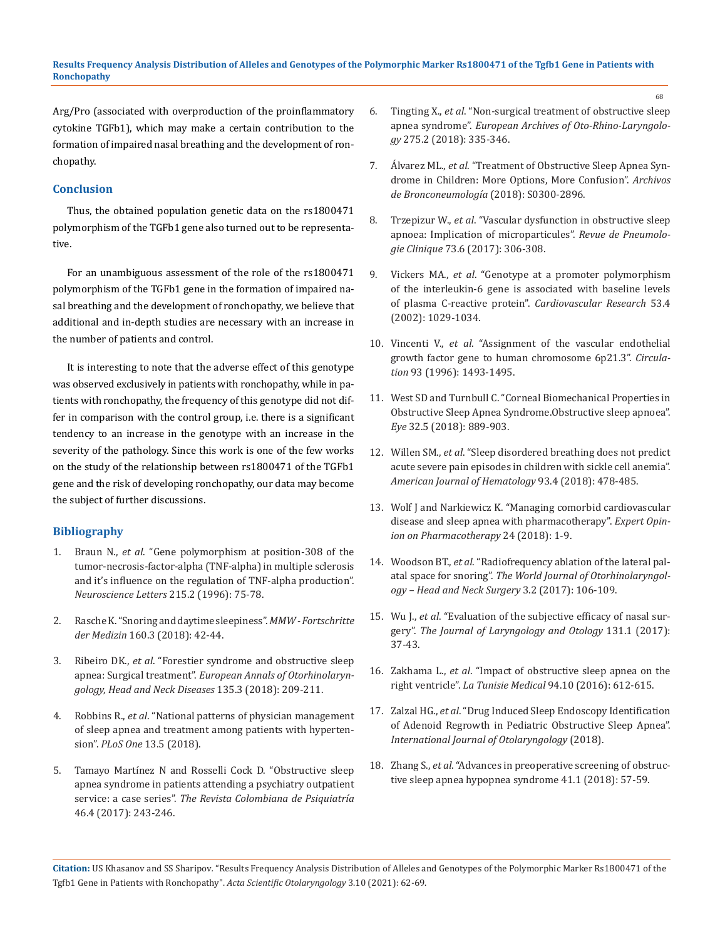Arg/Pro (associated with overproduction of the proinflammatory cytokine TGFb1), which may make a certain contribution to the formation of impaired nasal breathing and the development of ronchopathy.

### **Conclusion**

Thus, the obtained population genetic data on the rs1800471 polymorphism of the TGFb1 gene also turned out to be representative.

For an unambiguous assessment of the role of the rs1800471 polymorphism of the TGFb1 gene in the formation of impaired nasal breathing and the development of ronchopathy, we believe that additional and in-depth studies are necessary with an increase in the number of patients and control.

It is interesting to note that the adverse effect of this genotype was observed exclusively in patients with ronchopathy, while in patients with ronchopathy, the frequency of this genotype did not differ in comparison with the control group, i.e. there is a significant tendency to an increase in the genotype with an increase in the severity of the pathology. Since this work is one of the few works on the study of the relationship between rs1800471 of the TGFb1 gene and the risk of developing ronchopathy, our data may become the subject of further discussions.

# **Bibliography**

- 1. Braun N., *et al*[. "Gene polymorphism at position-308 of the](https://pubmed.ncbi.nlm.nih.gov/8887999/)  [tumor-necrosis-factor-alpha \(TNF-alpha\) in multiple sclerosis](https://pubmed.ncbi.nlm.nih.gov/8887999/)  [and it's influence on the regulation of TNF-alpha production".](https://pubmed.ncbi.nlm.nih.gov/8887999/)  *[Neuroscience Letters](https://pubmed.ncbi.nlm.nih.gov/8887999/)* 215.2 (1996): 75-78.
- 2. Rasche K. "Snoring and daytime sleepiness". *MMW Fortschritte der Medizin* 160.3 (2018): 42-44.
- 3. Ribeiro DK., *et al*[. "Forestier syndrome and obstructive sleep](https://pubmed.ncbi.nlm.nih.gov/29366867/)  apnea: Surgical treatment". *[European Annals of Otorhinolaryn](https://pubmed.ncbi.nlm.nih.gov/29366867/)[gology, Head and Neck Diseases](https://pubmed.ncbi.nlm.nih.gov/29366867/)* 135.3 (2018): 209-211.
- 4. Robbins R., *et al*[. "National patterns of physician management](https://pubmed.ncbi.nlm.nih.gov/29791455/)  [of sleep apnea and treatment among patients with hyperten](https://pubmed.ncbi.nlm.nih.gov/29791455/)sion". *PLoS One* [13.5 \(2018\).](https://pubmed.ncbi.nlm.nih.gov/29791455/)
- 5. [Tamayo Martínez N and Rosselli Cock D. "Obstructive sleep](https://pubmed.ncbi.nlm.nih.gov/29122232/)  [apnea syndrome in patients attending a psychiatry outpatient](https://pubmed.ncbi.nlm.nih.gov/29122232/)  service: a case series". *[The Revista Colombiana de Psiquiatría](https://pubmed.ncbi.nlm.nih.gov/29122232/)* [46.4 \(2017\): 243-246.](https://pubmed.ncbi.nlm.nih.gov/29122232/)
- 6. Tingting X., *et al*[. "Non-surgical treatment of obstructive sleep](https://pubmed.ncbi.nlm.nih.gov/29177626/)  apnea syndrome". *[European Archives of Oto-Rhino-Laryngolo](https://pubmed.ncbi.nlm.nih.gov/29177626/)gy* [275.2 \(2018\): 335-346.](https://pubmed.ncbi.nlm.nih.gov/29177626/)
- 7. Álvarez ML., *et al*[. "Treatment of Obstructive Sleep Apnea Syn](https://pubmed.ncbi.nlm.nih.gov/29422344/)[drome in Children: More Options, More Confusion".](https://pubmed.ncbi.nlm.nih.gov/29422344/) *Archivos [de Bronconeumología](https://pubmed.ncbi.nlm.nih.gov/29422344/)* (2018): S0300-2896.
- 8. Trzepizur W., *et al*[. "Vascular dysfunction in obstructive sleep](https://pubmed.ncbi.nlm.nih.gov/29126756/)  [apnoea: Implication of microparticules".](https://pubmed.ncbi.nlm.nih.gov/29126756/) *Revue de Pneumologie Clinique* [73.6 \(2017\): 306-308.](https://pubmed.ncbi.nlm.nih.gov/29126756/)
- 9. Vickers MA., *et al*[. "Genotype at a promoter polymorphism](https://pubmed.ncbi.nlm.nih.gov/11922913/)  [of the interleukin-6 gene is associated with baseline levels](https://pubmed.ncbi.nlm.nih.gov/11922913/)  [of plasma C-reactive protein".](https://pubmed.ncbi.nlm.nih.gov/11922913/) *Cardiovascular Research* 53.4 [\(2002\): 1029-1034.](https://pubmed.ncbi.nlm.nih.gov/11922913/)
- 10. Vincenti V., *et al*[. "Assignment of the vascular endothelial](https://www.ahajournals.org/doi/full/10.1161/01.CIR.93.8.1493)  [growth factor gene to human chromosome 6p21.3".](https://www.ahajournals.org/doi/full/10.1161/01.CIR.93.8.1493) *Circulation* [93 \(1996\): 1493-1495.](https://www.ahajournals.org/doi/full/10.1161/01.CIR.93.8.1493)
- 11. [West SD and Turnbull C. "Corneal Biomechanical Properties in](https://journals.lww.com/claojournal/Abstract/2018/11002/Corneal_Biomechanical_Properties_in_Obstructive.61.aspx)  [Obstructive Sleep Apnea Syndrome.Obstructive sleep apnoea".](https://journals.lww.com/claojournal/Abstract/2018/11002/Corneal_Biomechanical_Properties_in_Obstructive.61.aspx)  *Eye* [32.5 \(2018\): 889-903.](https://journals.lww.com/claojournal/Abstract/2018/11002/Corneal_Biomechanical_Properties_in_Obstructive.61.aspx)
- 12. Willen SM., *et al*[. "Sleep disordered breathing does not predict](https://pubmed.ncbi.nlm.nih.gov/29266432/)  [acute severe pain episodes in children with sickle cell anemia".](https://pubmed.ncbi.nlm.nih.gov/29266432/)  *[American Journal of Hematology](https://pubmed.ncbi.nlm.nih.gov/29266432/)* 93.4 (2018): 478-485.
- 13. [Wolf J and Narkiewicz K. "Managing comorbid cardiovascular](https://www.tandfonline.com/doi/abs/10.1080/14656566.2018.1476489?journalCode=ieop20)  [disease and sleep apnea with pharmacotherapy".](https://www.tandfonline.com/doi/abs/10.1080/14656566.2018.1476489?journalCode=ieop20) *Expert Opin[ion on Pharmacotherapy](https://www.tandfonline.com/doi/abs/10.1080/14656566.2018.1476489?journalCode=ieop20)* 24 (2018): 1-9.
- 14. Woodson BT., *et al*[. "Radiofrequency ablation of the lateral pal](https://www.ncbi.nlm.nih.gov/pmc/articles/PMC5683595/)atal space for snoring". *[The World Journal of Otorhinolaryngol](https://www.ncbi.nlm.nih.gov/pmc/articles/PMC5683595/)[ogy – Head and Neck Surgery](https://www.ncbi.nlm.nih.gov/pmc/articles/PMC5683595/)* 3.2 (2017): 106-109.
- 15. Wu J., *et al*[. "Evaluation of the subjective efficacy of nasal sur](https://pubmed.ncbi.nlm.nih.gov/27916003/)gery". *[The Journal of Laryngology and Otology](https://pubmed.ncbi.nlm.nih.gov/27916003/)* 131.1 (2017): [37-43.](https://pubmed.ncbi.nlm.nih.gov/27916003/)
- 16. Zakhama L., *et al*[. "Impact of obstructive sleep apnea on the](https://pubmed.ncbi.nlm.nih.gov/28685797/)  right ventricle". *La Tunisie Medical* [94.10 \(2016\): 612-615.](https://pubmed.ncbi.nlm.nih.gov/28685797/)
- 17. Zalzal HG., *et al*[. "Drug Induced Sleep Endoscopy Identification](https://pubmed.ncbi.nlm.nih.gov/29853903/)  [of Adenoid Regrowth in Pediatric Obstructive Sleep Apnea".](https://pubmed.ncbi.nlm.nih.gov/29853903/)  *[International Journal of Otolaryngology](https://pubmed.ncbi.nlm.nih.gov/29853903/)* (2018).
- 18. Zhang S., *et al*[. "Advances in preoperative screening of obstruc](https://pubmed.ncbi.nlm.nih.gov/29343019/)[tive sleep apnea hypopnea syndrome 41.1 \(2018\): 57-59.](https://pubmed.ncbi.nlm.nih.gov/29343019/)

**Citation:** US Khasanov and SS Sharipov*.* "Results Frequency Analysis Distribution of Alleles and Genotypes of the Polymorphic Marker Rs1800471 of the Tgfb1 Gene in Patients with Ronchopathy". *Acta Scientific Otolaryngology* 3.10 (2021): 62-69.